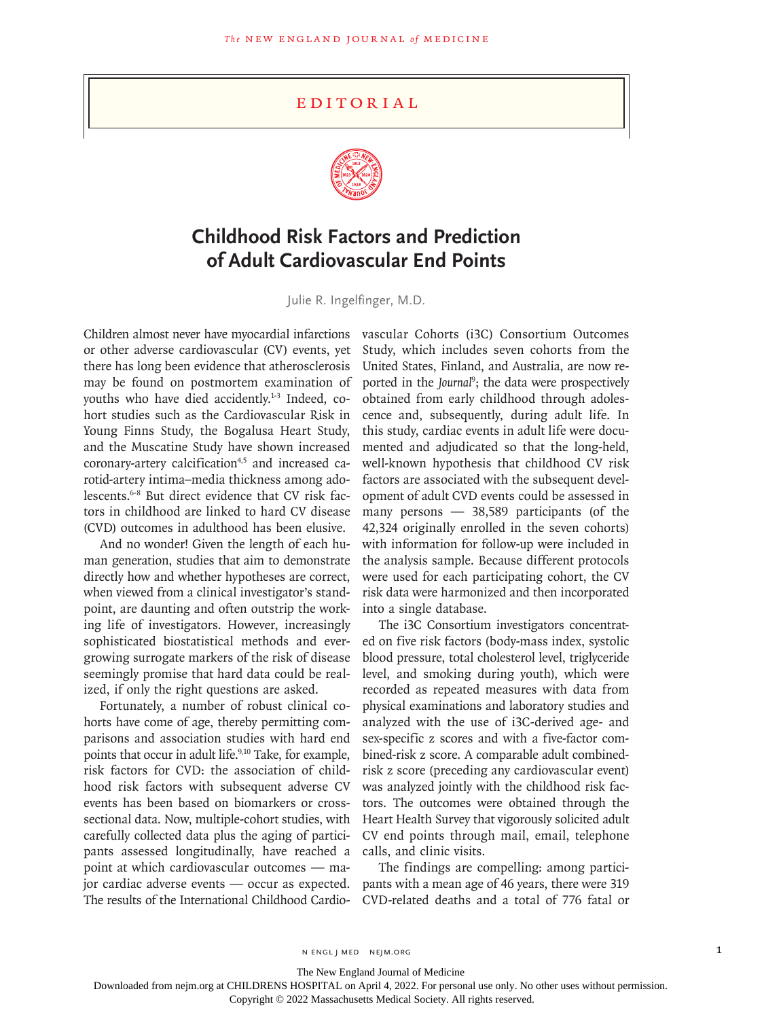## Editorial



## **Childhood Risk Factors and Prediction of Adult Cardiovascular End Points**

Julie R. Ingelfinger, M.D.

Children almost never have myocardial infarctions or other adverse cardiovascular (CV) events, yet there has long been evidence that atherosclerosis may be found on postmortem examination of youths who have died accidently.<sup>1-3</sup> Indeed, cohort studies such as the Cardiovascular Risk in Young Finns Study, the Bogalusa Heart Study, and the Muscatine Study have shown increased coronary-artery calcification<sup>4,5</sup> and increased carotid-artery intima–media thickness among adolescents.6-8 But direct evidence that CV risk factors in childhood are linked to hard CV disease (CVD) outcomes in adulthood has been elusive.

And no wonder! Given the length of each human generation, studies that aim to demonstrate directly how and whether hypotheses are correct, when viewed from a clinical investigator's standpoint, are daunting and often outstrip the working life of investigators. However, increasingly sophisticated biostatistical methods and evergrowing surrogate markers of the risk of disease seemingly promise that hard data could be realized, if only the right questions are asked.

Fortunately, a number of robust clinical cohorts have come of age, thereby permitting comparisons and association studies with hard end points that occur in adult life.<sup>9,10</sup> Take, for example, risk factors for CVD: the association of childhood risk factors with subsequent adverse CV events has been based on biomarkers or crosssectional data. Now, multiple-cohort studies, with carefully collected data plus the aging of participants assessed longitudinally, have reached a point at which cardiovascular outcomes — major cardiac adverse events — occur as expected. The results of the International Childhood Cardiovascular Cohorts (i3C) Consortium Outcomes Study, which includes seven cohorts from the United States, Finland, and Australia, are now reported in the *Journal*<sup>9</sup> ; the data were prospectively obtained from early childhood through adolescence and, subsequently, during adult life. In this study, cardiac events in adult life were documented and adjudicated so that the long-held, well-known hypothesis that childhood CV risk factors are associated with the subsequent development of adult CVD events could be assessed in many persons — 38,589 participants (of the 42,324 originally enrolled in the seven cohorts) with information for follow-up were included in the analysis sample. Because different protocols were used for each participating cohort, the CV risk data were harmonized and then incorporated into a single database.

The i3C Consortium investigators concentrated on five risk factors (body-mass index, systolic blood pressure, total cholesterol level, triglyceride level, and smoking during youth), which were recorded as repeated measures with data from physical examinations and laboratory studies and analyzed with the use of i3C-derived age- and sex-specific z scores and with a five-factor combined-risk z score. A comparable adult combinedrisk z score (preceding any cardiovascular event) was analyzed jointly with the childhood risk factors. The outcomes were obtained through the Heart Health Survey that vigorously solicited adult CV end points through mail, email, telephone calls, and clinic visits.

The findings are compelling: among participants with a mean age of 46 years, there were 319 CVD-related deaths and a total of 776 fatal or

The New England Journal of Medicine

Downloaded from nejm.org at CHILDRENS HOSPITAL on April 4, 2022. For personal use only. No other uses without permission.

Copyright © 2022 Massachusetts Medical Society. All rights reserved.